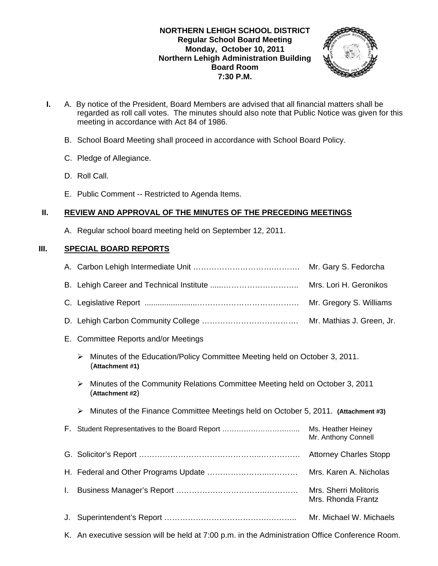### **NORTHERN LEHIGH SCHOOL DISTRICT Regular School Board Meeting Monday, October 10, 2011 Northern Lehigh Administration Building Board Room 7:30 P.M.**



- **I.** A. By notice of the President, Board Members are advised that all financial matters shall be regarded as roll call votes. The minutes should also note that Public Notice was given for this meeting in accordance with Act 84 of 1986.
	- B. School Board Meeting shall proceed in accordance with School Board Policy.
	- C. Pledge of Allegiance.
	- D. Roll Call.
	- E. Public Comment -- Restricted to Agenda Items.

### **II. REVIEW AND APPROVAL OF THE MINUTES OF THE PRECEDING MEETINGS**

A. Regular school board meeting held on September 12, 2011.

## **III. SPECIAL BOARD REPORTS**

|    |                                                                                                      | Mr. Gary S. Fedorcha                        |  |  |  |
|----|------------------------------------------------------------------------------------------------------|---------------------------------------------|--|--|--|
|    |                                                                                                      | Mrs. Lori H. Geronikos                      |  |  |  |
|    |                                                                                                      | Mr. Gregory S. Williams                     |  |  |  |
|    | Mr. Mathias J. Green, Jr.                                                                            |                                             |  |  |  |
| Е. | Committee Reports and/or Meetings                                                                    |                                             |  |  |  |
|    | Minutes of the Education/Policy Committee Meeting held on October 3, 2011.<br>➤<br>(Attachment #1)   |                                             |  |  |  |
|    | Minutes of the Community Relations Committee Meeting held on October 3, 2011<br>≻<br>(Attachment #2) |                                             |  |  |  |
|    | Minutes of the Finance Committee Meetings held on October 5, 2011. (Attachment #3)<br>➤              |                                             |  |  |  |
|    | F. Student Representatives to the Board Report                                                       | Ms. Heather Heiney<br>Mr. Anthony Connell   |  |  |  |
|    | <b>Attorney Charles Stopp</b>                                                                        |                                             |  |  |  |
|    |                                                                                                      | Mrs. Karen A. Nicholas                      |  |  |  |
| L. |                                                                                                      | Mrs. Sherri Molitoris<br>Mrs. Rhonda Frantz |  |  |  |
| J. |                                                                                                      | Mr. Michael W. Michaels                     |  |  |  |
|    | K. An executive session will be held at 7:00 p.m. in the Administration Office Conference Room.      |                                             |  |  |  |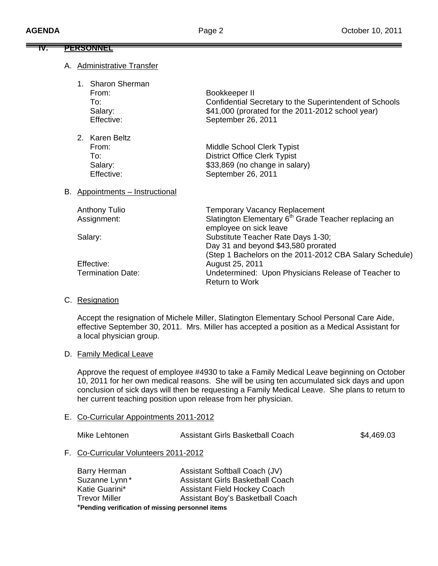## **IV. PERSONNEL**

### A. Administrative Transfer

| 1. Sharon Sherman |                                                         |
|-------------------|---------------------------------------------------------|
| From:             | Bookkeeper II                                           |
| To:               | Confidential Secretary to the Superintendent of Schools |
| Salary:           | \$41,000 (prorated for the 2011-2012 school year)       |
| Effective:        | September 26, 2011                                      |
| 2. Karen Beltz    |                                                         |
| From:             | Middle School Clerk Typist                              |
| To:               | <b>District Office Clerk Typist</b>                     |
| Salary:           | \$33,869 (no change in salary)                          |
| Effective:        | September 26, 2011                                      |
|                   |                                                         |

### B. Appointments – Instructional

| <b>Anthony Tulio</b>     | <b>Temporary Vacancy Replacement</b>                             |
|--------------------------|------------------------------------------------------------------|
| Assignment:              | Slatington Elementary 6 <sup>th</sup> Grade Teacher replacing an |
|                          | employee on sick leave                                           |
| Salary:                  | Substitute Teacher Rate Days 1-30;                               |
|                          | Day 31 and beyond \$43,580 prorated                              |
|                          | (Step 1 Bachelors on the 2011-2012 CBA Salary Schedule)          |
| Effective:               | August 25, 2011                                                  |
| <b>Termination Date:</b> | Undetermined: Upon Physicians Release of Teacher to              |
|                          | <b>Return to Work</b>                                            |

### C. Resignation

 Accept the resignation of Michele Miller, Slatington Elementary School Personal Care Aide, effective September 30, 2011. Mrs. Miller has accepted a position as a Medical Assistant for a local physician group.

### D. Family Medical Leave

Approve the request of employee #4930 to take a Family Medical Leave beginning on October 10, 2011 for her own medical reasons. She will be using ten accumulated sick days and upon conclusion of sick days will then be requesting a Family Medical Leave. She plans to return to her current teaching position upon release from her physician.

### E. Co-Curricular Appointments 2011-2012

Mike Lehtonen **Assistant Girls Basketball Coach** \$4,469.03

F. Co-Curricular Volunteers 2011-2012

| Barry Herman                                     | Assistant Softball Coach (JV)           |  |
|--------------------------------------------------|-----------------------------------------|--|
| Suzanne Lynn*                                    | <b>Assistant Girls Basketball Coach</b> |  |
| Katie Guarini*                                   | <b>Assistant Field Hockey Coach</b>     |  |
| <b>Trevor Miller</b>                             | Assistant Boy's Basketball Coach        |  |
| *Pending verification of missing personnel items |                                         |  |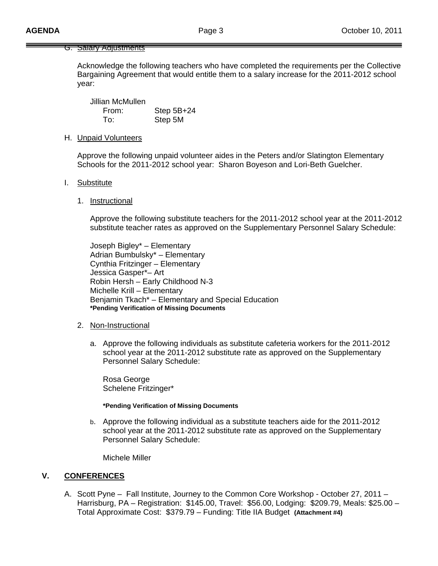### G. Salary Adjustments

Acknowledge the following teachers who have completed the requirements per the Collective Bargaining Agreement that would entitle them to a salary increase for the 2011-2012 school year:

 Jillian McMullen From: Step 5B+24 To: Step 5M

#### H. Unpaid Volunteers

Approve the following unpaid volunteer aides in the Peters and/or Slatington Elementary Schools for the 2011-2012 school year: Sharon Boyeson and Lori-Beth Guelcher.

#### I. Substitute

#### 1. Instructional

 Approve the following substitute teachers for the 2011-2012 school year at the 2011-2012 substitute teacher rates as approved on the Supplementary Personnel Salary Schedule:

 Joseph Bigley\* – Elementary Adrian Bumbulsky\* – Elementary Cynthia Fritzinger – Elementary Jessica Gasper\*– Art Robin Hersh – Early Childhood N-3 Michelle Krill – Elementary Benjamin Tkach\* – Elementary and Special Education **\*Pending Verification of Missing Documents** 

#### 2. Non-Instructional

a. Approve the following individuals as substitute cafeteria workers for the 2011-2012 school year at the 2011-2012 substitute rate as approved on the Supplementary Personnel Salary Schedule:

 Rosa George Schelene Fritzinger\*

#### **\*Pending Verification of Missing Documents**

b. Approve the following individual as a substitute teachers aide for the 2011-2012 school year at the 2011-2012 substitute rate as approved on the Supplementary Personnel Salary Schedule:

Michele Miller

### **V. CONFERENCES**

A. Scott Pyne – Fall Institute, Journey to the Common Core Workshop - October 27, 2011 – Harrisburg, PA – Registration: \$145.00, Travel: \$56.00, Lodging: \$209.79, Meals: \$25.00 – Total Approximate Cost: \$379.79 – Funding: Title IIA Budget **(Attachment #4)**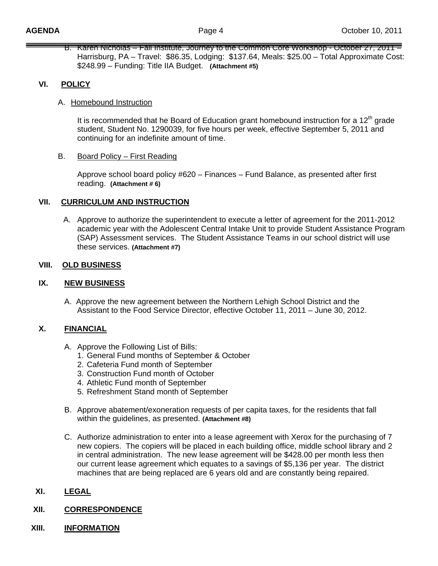B. Karen Nicholas – Fall Institute, Journey to the Common Core Workshop - October 27, 2011 – Harrisburg, PA – Travel: \$86.35, Lodging: \$137.64, Meals: \$25.00 – Total Approximate Cost: \$248.99 – Funding: Title IIA Budget. **(Attachment #5)**

## **VI. POLICY**

### A. Homebound Instruction

It is recommended that he Board of Education grant homebound instruction for a  $12<sup>th</sup>$  grade student, Student No. 1290039, for five hours per week, effective September 5, 2011 and continuing for an indefinite amount of time.

### B. Board Policy – First Reading

 Approve school board policy #620 – Finances – Fund Balance, as presented after first reading. **(Attachment # 6)**

### **VII. CURRICULUM AND INSTRUCTION**

A. Approve to authorize the superintendent to execute a letter of agreement for the 2011-2012 academic year with the Adolescent Central Intake Unit to provide Student Assistance Program (SAP) Assessment services. The Student Assistance Teams in our school district will use these services. **(Attachment #7)**

### **VIII. OLD BUSINESS**

### **IX. NEW BUSINESS**

A. Approve the new agreement between the Northern Lehigh School District and the Assistant to the Food Service Director, effective October 11, 2011 – June 30, 2012.

### **X. FINANCIAL**

- A. Approve the Following List of Bills:
	- 1. General Fund months of September & October
	- 2. Cafeteria Fund month of September
	- 3. Construction Fund month of October
	- 4. Athletic Fund month of September
	- 5. Refreshment Stand month of September
- B. Approve abatement/exoneration requests of per capita taxes, for the residents that fall within the guidelines, as presented. **(Attachment #8)**
- C. Authorize administration to enter into a lease agreement with Xerox for the purchasing of 7 new copiers. The copiers will be placed in each building office, middle school library and 2 in central administration. The new lease agreement will be \$428.00 per month less then our current lease agreement which equates to a savings of \$5,136 per year. The district machines that are being replaced are 6 years old and are constantly being repaired.

## **XI. LEGAL**

## **XII. CORRESPONDENCE**

### **XIII. INFORMATION**